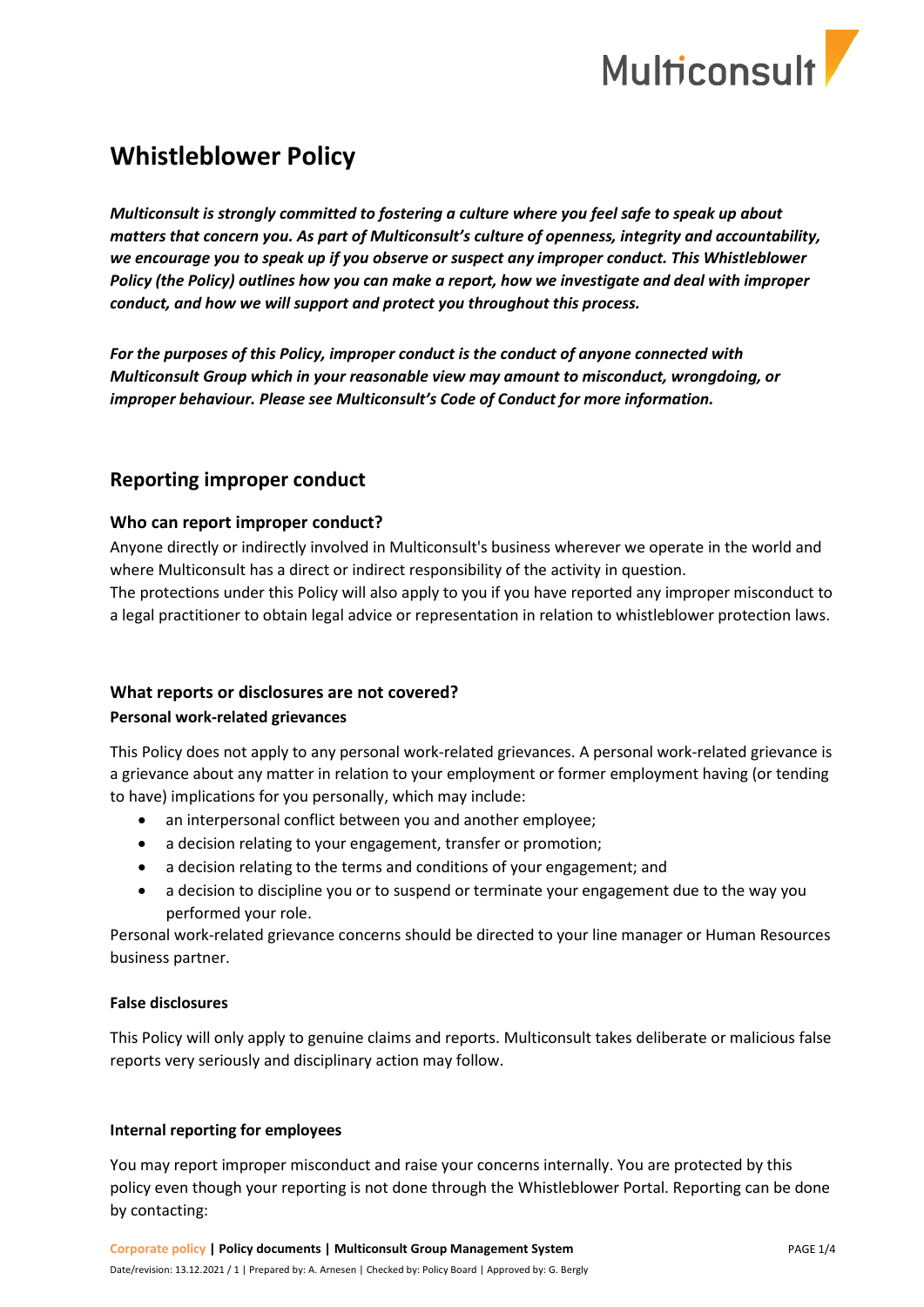

# **Whistleblower Policy**

*Multiconsult is strongly committed to fostering a culture where you feel safe to speak up about matters that concern you. As part of Multiconsult's culture of openness, integrity and accountability, we encourage you to speak up if you observe or suspect any improper conduct. This Whistleblower Policy (the Policy) outlines how you can make a report, how we investigate and deal with improper conduct, and how we will support and protect you throughout this process.*

*For the purposes of this Policy, improper conduct is the conduct of anyone connected with Multiconsult Group which in your reasonable view may amount to misconduct, wrongdoing, or improper behaviour. Please see Multiconsult's Code of Conduct for more information.* 

# **Reporting improper conduct**

#### **Who can report improper conduct?**

Anyone directly or indirectly involved in Multiconsult's business wherever we operate in the world and where Multiconsult has a direct or indirect responsibility of the activity in question.

The protections under this Policy will also apply to you if you have reported any improper misconduct to a legal practitioner to obtain legal advice or representation in relation to whistleblower protection laws.

## **What reports or disclosures are not covered?**

#### **Personal work-related grievances**

This Policy does not apply to any personal work-related grievances. A personal work-related grievance is a grievance about any matter in relation to your employment or former employment having (or tending to have) implications for you personally, which may include:

- an interpersonal conflict between you and another employee;
- a decision relating to your engagement, transfer or promotion;
- a decision relating to the terms and conditions of your engagement; and
- a decision to discipline you or to suspend or terminate your engagement due to the way you performed your role.

Personal work-related grievance concerns should be directed to your line manager or Human Resources business partner.

#### **False disclosures**

This Policy will only apply to genuine claims and reports. Multiconsult takes deliberate or malicious false reports very seriously and disciplinary action may follow.

#### **Internal reporting for employees**

You may report improper misconduct and raise your concerns internally. You are protected by this policy even though your reporting is not done through the Whistleblower Portal. Reporting can be done by contacting: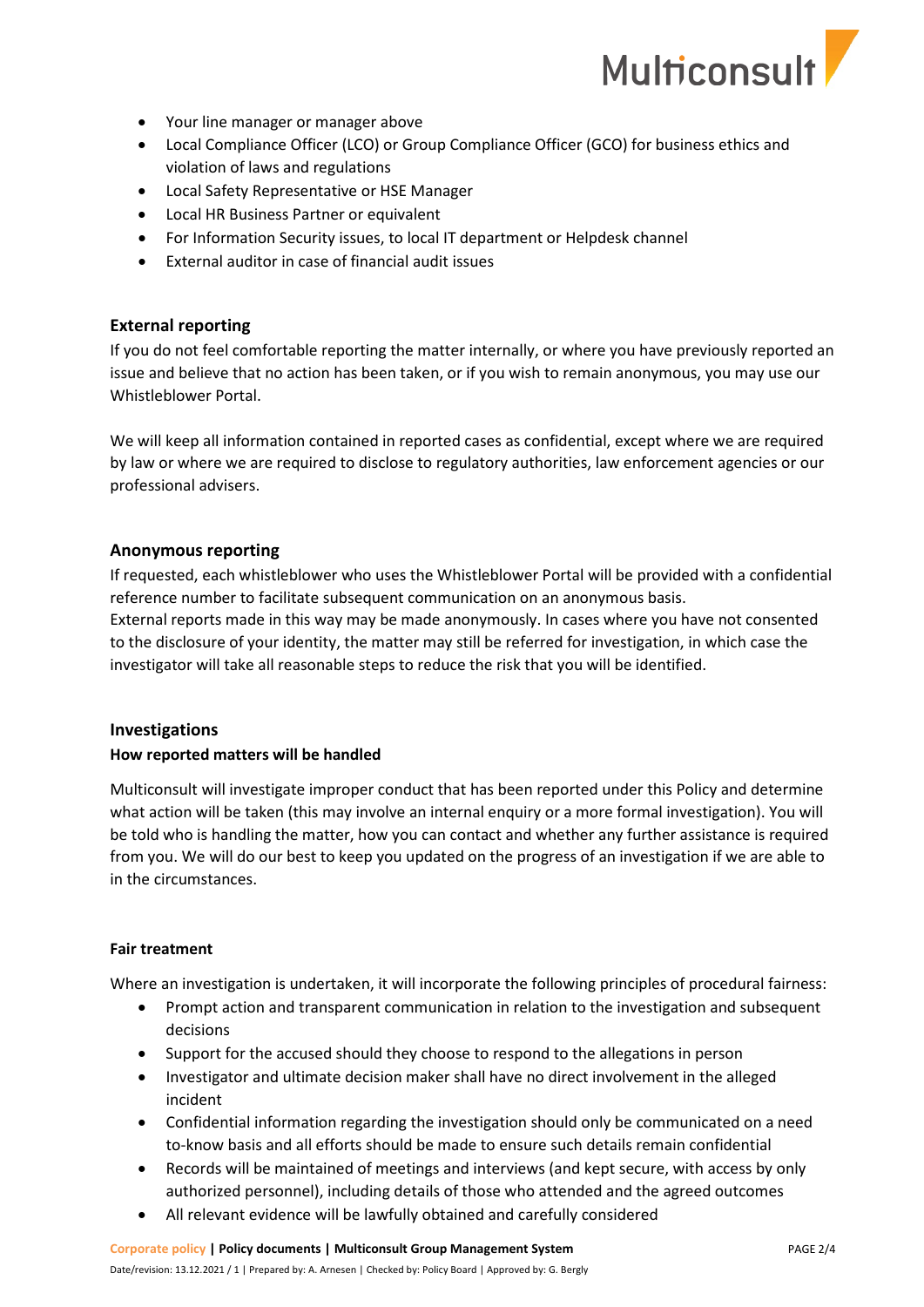

- Your line manager or manager above
- Local Compliance Officer (LCO) or Group Compliance Officer (GCO) for business ethics and violation of laws and regulations
- Local Safety Representative or HSE Manager
- Local HR Business Partner or equivalent
- For Information Security issues, to local IT department or Helpdesk channel
- External auditor in case of financial audit issues

#### **External reporting**

If you do not feel comfortable reporting the matter internally, or where you have previously reported an issue and believe that no action has been taken, or if you wish to remain anonymous, you may use our Whistleblower Portal.

We will keep all information contained in reported cases as confidential, except where we are required by law or where we are required to disclose to regulatory authorities, law enforcement agencies or our professional advisers.

#### **Anonymous reporting**

If requested, each whistleblower who uses the Whistleblower Portal will be provided with a confidential reference number to facilitate subsequent communication on an anonymous basis. External reports made in this way may be made anonymously. In cases where you have not consented to the disclosure of your identity, the matter may still be referred for investigation, in which case the investigator will take all reasonable steps to reduce the risk that you will be identified.

#### **Investigations**

#### **How reported matters will be handled**

Multiconsult will investigate improper conduct that has been reported under this Policy and determine what action will be taken (this may involve an internal enquiry or a more formal investigation). You will be told who is handling the matter, how you can contact and whether any further assistance is required from you. We will do our best to keep you updated on the progress of an investigation if we are able to in the circumstances.

#### **Fair treatment**

Where an investigation is undertaken, it will incorporate the following principles of procedural fairness:

- Prompt action and transparent communication in relation to the investigation and subsequent decisions
- Support for the accused should they choose to respond to the allegations in person
- Investigator and ultimate decision maker shall have no direct involvement in the alleged incident
- Confidential information regarding the investigation should only be communicated on a need to-know basis and all efforts should be made to ensure such details remain confidential
- Records will be maintained of meetings and interviews (and kept secure, with access by only authorized personnel), including details of those who attended and the agreed outcomes
- All relevant evidence will be lawfully obtained and carefully considered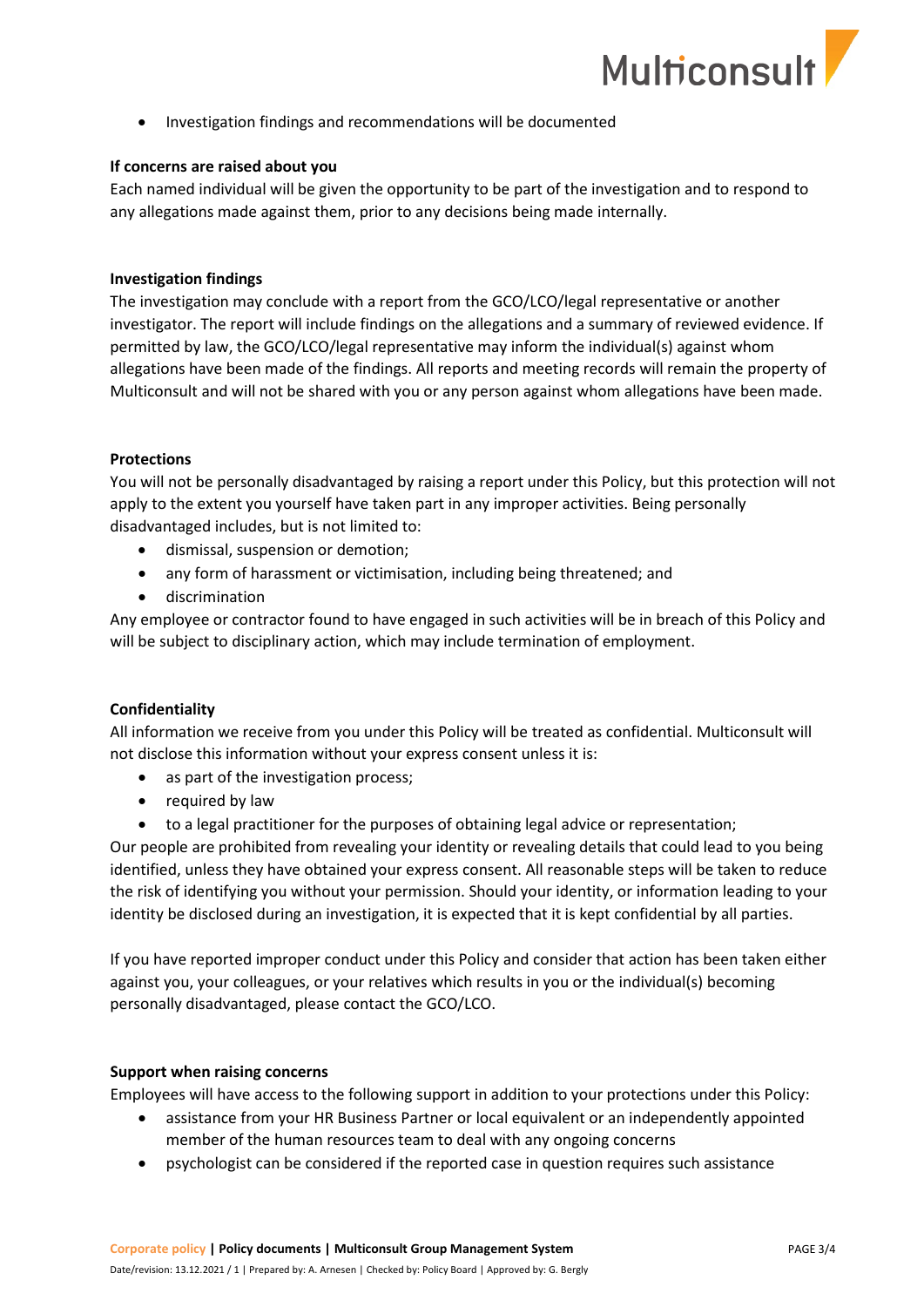

• Investigation findings and recommendations will be documented

#### **If concerns are raised about you**

Each named individual will be given the opportunity to be part of the investigation and to respond to any allegations made against them, prior to any decisions being made internally.

#### **Investigation findings**

The investigation may conclude with a report from the GCO/LCO/legal representative or another investigator. The report will include findings on the allegations and a summary of reviewed evidence. If permitted by law, the GCO/LCO/legal representative may inform the individual(s) against whom allegations have been made of the findings. All reports and meeting records will remain the property of Multiconsult and will not be shared with you or any person against whom allegations have been made.

#### **Protections**

You will not be personally disadvantaged by raising a report under this Policy, but this protection will not apply to the extent you yourself have taken part in any improper activities. Being personally disadvantaged includes, but is not limited to:

- dismissal, suspension or demotion;
- any form of harassment or victimisation, including being threatened; and
- discrimination

Any employee or contractor found to have engaged in such activities will be in breach of this Policy and will be subject to disciplinary action, which may include termination of employment.

## **Confidentiality**

All information we receive from you under this Policy will be treated as confidential. Multiconsult will not disclose this information without your express consent unless it is:

- as part of the investigation process;
- required by law
- to a legal practitioner for the purposes of obtaining legal advice or representation;

Our people are prohibited from revealing your identity or revealing details that could lead to you being identified, unless they have obtained your express consent. All reasonable steps will be taken to reduce the risk of identifying you without your permission. Should your identity, or information leading to your identity be disclosed during an investigation, it is expected that it is kept confidential by all parties.

If you have reported improper conduct under this Policy and consider that action has been taken either against you, your colleagues, or your relatives which results in you or the individual(s) becoming personally disadvantaged, please contact the GCO/LCO.

#### **Support when raising concerns**

Employees will have access to the following support in addition to your protections under this Policy:

- assistance from your HR Business Partner or local equivalent or an independently appointed member of the human resources team to deal with any ongoing concerns
- psychologist can be considered if the reported case in question requires such assistance